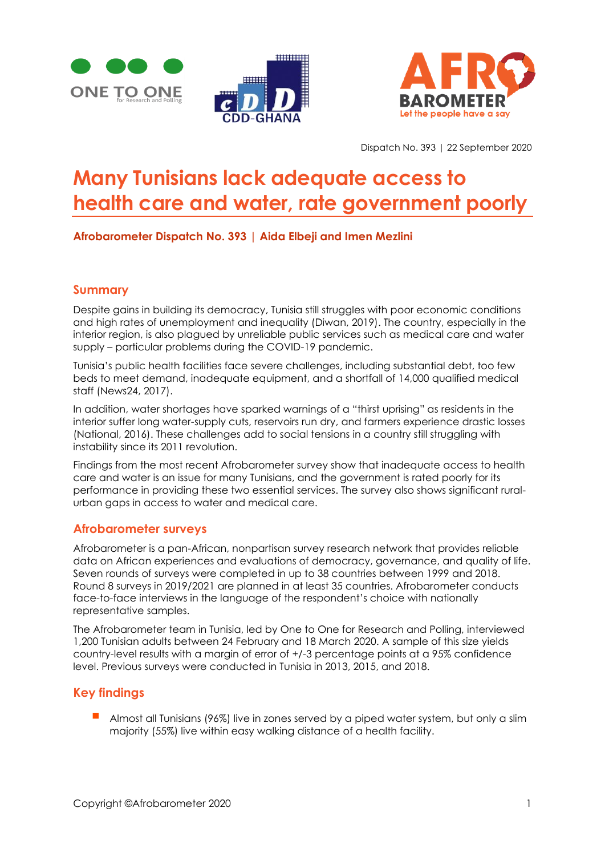





Dispatch No. 393 | 22 September 2020

# **Many Tunisians lack adequate access to health care and water, rate government poorly**

# **Afrobarometer Dispatch No. 393 | Aida Elbeji and Imen Mezlini**

# **Summary**

Despite gains in building its democracy, Tunisia still struggles with poor economic conditions and high rates of unemployment and inequality (Diwan, 2019). The country, especially in the interior region, is also plagued by unreliable public services such as medical care and water supply – particular problems during the COVID-19 pandemic.

Tunisia's public health facilities face severe challenges, including substantial debt, too few beds to meet demand, inadequate equipment, and a shortfall of 14,000 qualified medical staff (News24, 2017).

In addition, water shortages have sparked warnings of a "thirst uprising" as residents in the interior suffer long water-supply cuts, reservoirs run dry, and farmers experience drastic losses (National, 2016). These challenges add to social tensions in a country still struggling with instability since its 2011 revolution.

Findings from the most recent Afrobarometer survey show that inadequate access to health care and water is an issue for many Tunisians, and the government is rated poorly for its performance in providing these two essential services. The survey also shows significant ruralurban gaps in access to water and medical care.

# **Afrobarometer surveys**

Afrobarometer is a pan-African, nonpartisan survey research network that provides reliable data on African experiences and evaluations of democracy, governance, and quality of life. Seven rounds of surveys were completed in up to 38 countries between 1999 and 2018. Round 8 surveys in 2019/2021 are planned in at least 35 countries. Afrobarometer conducts face-to-face interviews in the language of the respondent's choice with nationally representative samples.

The Afrobarometer team in Tunisia, led by One to One for Research and Polling, interviewed 1,200 Tunisian adults between 24 February and 18 March 2020. A sample of this size yields country-level results with a margin of error of +/-3 percentage points at a 95% confidence level. Previous surveys were conducted in Tunisia in 2013, 2015, and 2018.

# **Key findings**

▪ Almost all Tunisians (96%) live in zones served by a piped water system, but only a slim majority (55%) live within easy walking distance of a health facility.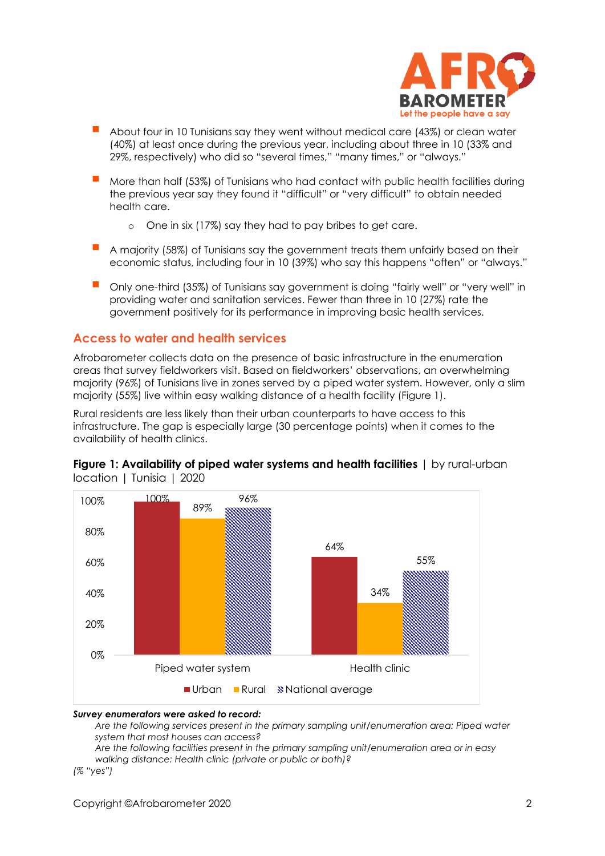

- About four in 10 Tunisians say they went without medical care (43%) or clean water (40%) at least once during the previous year, including about three in 10 (33% and 29%, respectively) who did so "several times," "many times," or "always."
- More than half (53%) of Tunisians who had contact with public health facilities during the previous year say they found it "difficult" or "very difficult" to obtain needed health care.
	- o One in six (17%) say they had to pay bribes to get care.
- A majority (58%) of Tunisians say the government treats them unfairly based on their economic status, including four in 10 (39%) who say this happens "often" or "always."
- Only one-third (35%) of Tunisians say government is doing "fairly well" or "very well" in providing water and sanitation services. Fewer than three in 10 (27%) rate the government positively for its performance in improving basic health services.

# **Access to water and health services**

Afrobarometer collects data on the presence of basic infrastructure in the enumeration areas that survey fieldworkers visit. Based on fieldworkers' observations, an overwhelming majority (96%) of Tunisians live in zones served by a piped water system. However, only a slim majority (55%) live within easy walking distance of a health facility (Figure 1).

Rural residents are less likely than their urban counterparts to have access to this infrastructure. The gap is especially large (30 percentage points) when it comes to the availability of health clinics.



**Figure 1: Availability of piped water systems and health facilities** | by rural-urban location | Tunisia | 2020

#### *Survey enumerators were asked to record:*

*Are the following services present in the primary sampling unit/enumeration area: Piped water system that most houses can access?* 

*Are the following facilities present in the primary sampling unit/enumeration area or in easy walking distance: Health clinic (private or public or both)?*

*(% "yes")*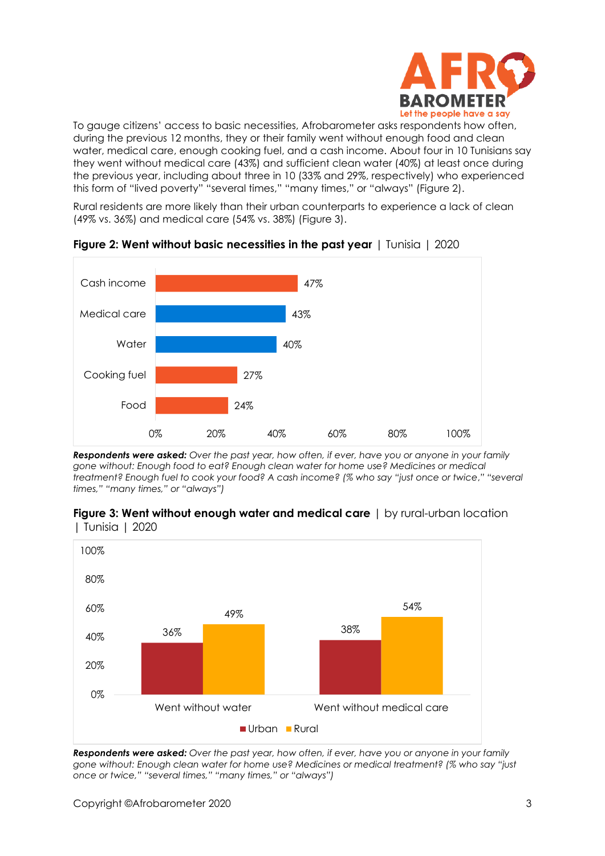

To gauge citizens' access to basic necessities, Afrobarometer asks respondents how often, during the previous 12 months, they or their family went without enough food and clean water, medical care, enough cooking fuel, and a cash income. About four in 10 Tunisians say they went without medical care (43%) and sufficient clean water (40%) at least once during the previous year, including about three in 10 (33% and 29%, respectively) who experienced this form of "lived poverty" "several times," "many times," or "always" (Figure 2).

Rural residents are more likely than their urban counterparts to experience a lack of clean (49% vs. 36%) and medical care (54% vs. 38%) (Figure 3).



**Figure 2: Went without basic necessities in the past year** | Tunisia | 2020

*Respondents were asked: Over the past year, how often, if ever, have you or anyone in your family gone without: Enough food to eat? Enough clean water for home use? Medicines or medical treatment? Enough fuel to cook your food? A cash income? (% who say "just once or twice*,*" "several times," "many times," or "always")* 





*Respondents were asked: Over the past year, how often, if ever, have you or anyone in your family gone without: Enough clean water for home use? Medicines or medical treatment? (% who say "just once or twice," "several times," "many times," or "always")*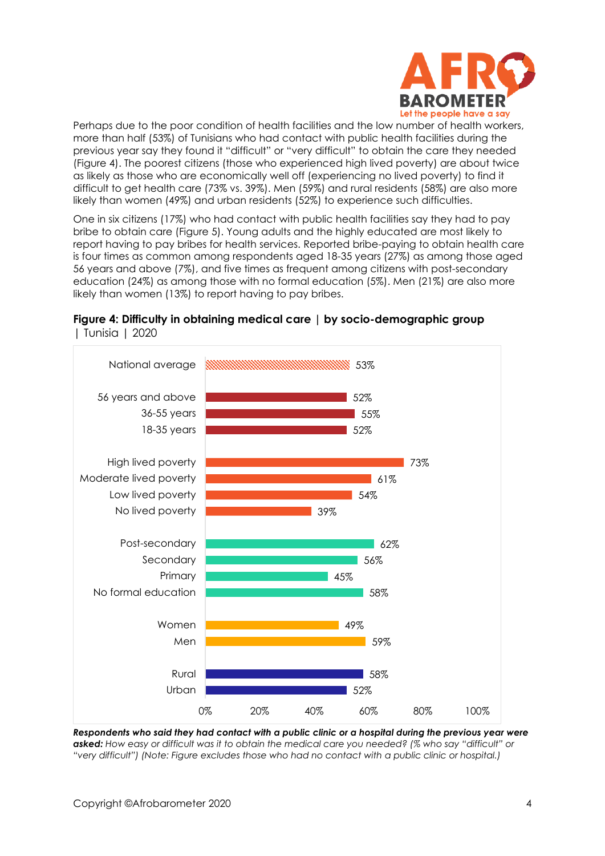

Perhaps due to the poor condition of health facilities and the low number of health workers, more than half (53%) of Tunisians who had contact with public health facilities during the previous year say they found it "difficult" or "very difficult" to obtain the care they needed (Figure 4). The poorest citizens (those who experienced high lived poverty) are about twice as likely as those who are economically well off (experiencing no lived poverty) to find it difficult to get health care (73% vs. 39%). Men (59%) and rural residents (58%) are also more likely than women (49%) and urban residents (52%) to experience such difficulties.

One in six citizens (17%) who had contact with public health facilities say they had to pay bribe to obtain care (Figure 5). Young adults and the highly educated are most likely to report having to pay bribes for health services. Reported bribe-paying to obtain health care is four times as common among respondents aged 18-35 years (27%) as among those aged 56 years and above (7%), and five times as frequent among citizens with post-secondary education (24%) as among those with no formal education (5%). Men (21%) are also more likely than women (13%) to report having to pay bribes.



### **Figure 4: Difficulty in obtaining medical care | by socio-demographic group**  | Tunisia | 2020

*Respondents who said they had contact with a public clinic or a hospital during the previous year were asked: How easy or difficult was it to obtain the medical care you needed? (% who say "difficult" or "very difficult") (Note: Figure excludes those who had no contact with a public clinic or hospital.)*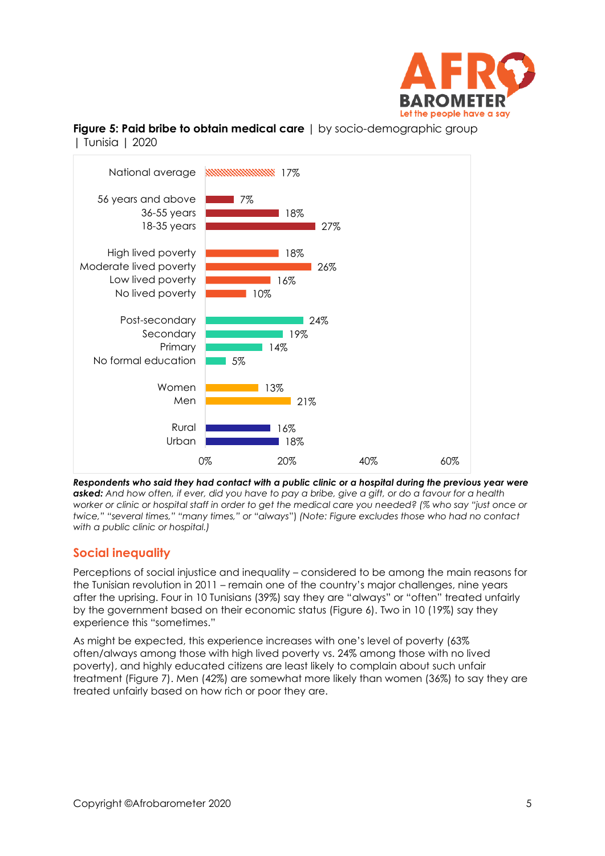

**Figure 5: Paid bribe to obtain medical care** | by socio-demographic group | Tunisia | 2020



*Respondents who said they had contact with a public clinic or a hospital during the previous year were asked: And how often, if ever, did you have to pay a bribe, give a gift, or do a favour for a health worker or clinic or hospital staff in order to get the medical care you needed? (% who say "just once or twice," "several times," "many times," or "always*") *(Note: Figure excludes those who had no contact with a public clinic or hospital.)*

# **Social inequality**

Perceptions of social injustice and inequality – considered to be among the main reasons for the Tunisian revolution in 2011 – remain one of the country's major challenges, nine years after the uprising. Four in 10 Tunisians (39%) say they are "always" or "often" treated unfairly by the government based on their economic status (Figure 6). Two in 10 (19%) say they experience this "sometimes."

As might be expected, this experience increases with one's level of poverty (63% often/always among those with high lived poverty vs. 24% among those with no lived poverty), and highly educated citizens are least likely to complain about such unfair treatment (Figure 7). Men (42%) are somewhat more likely than women (36%) to say they are treated unfairly based on how rich or poor they are.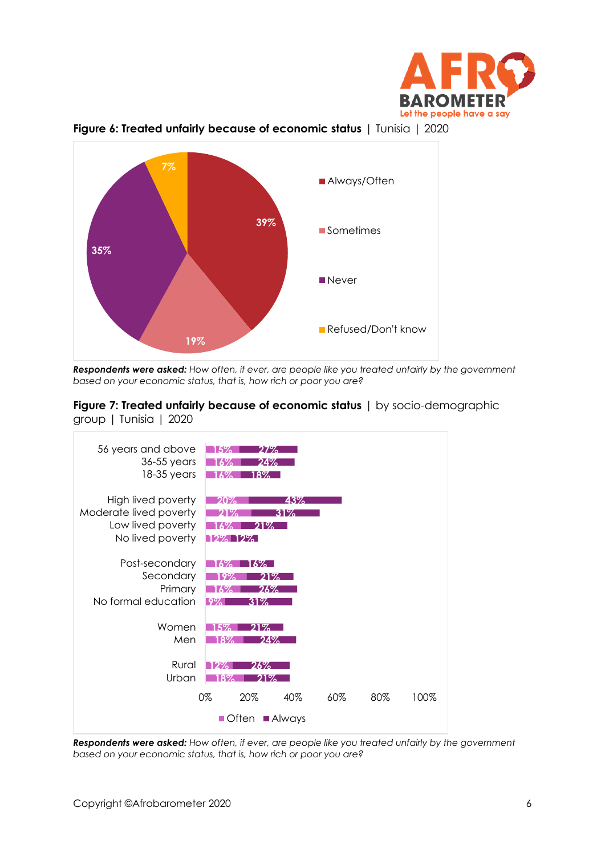





*Respondents were asked: How often, if ever, are people like you treated unfairly by the government based on your economic status, that is, how rich or poor you are?*





*Respondents were asked: How often, if ever, are people like you treated unfairly by the government based on your economic status, that is, how rich or poor you are?*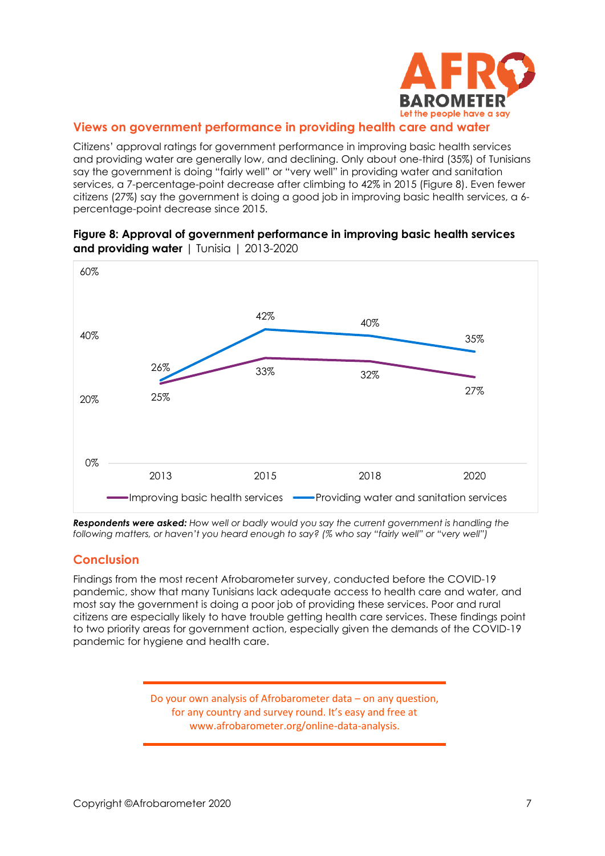

## **Views on government performance in providing health care and water**

Citizens' approval ratings for government performance in improving basic health services and providing water are generally low, and declining. Only about one-third (35%) of Tunisians say the government is doing "fairly well" or "very well" in providing water and sanitation services, a 7-percentage-point decrease after climbing to 42% in 2015 (Figure 8). Even fewer citizens (27%) say the government is doing a good job in improving basic health services, a 6 percentage-point decrease since 2015.



**Figure 8: Approval of government performance in improving basic health services and providing water** | Tunisia | 2013-2020

*Respondents were asked: How well or badly would you say the current government is handling the following matters, or haven't you heard enough to say? (% who say "fairly well" or "very well")*

# **Conclusion**

Findings from the most recent Afrobarometer survey, conducted before the COVID-19 pandemic, show that many Tunisians lack adequate access to health care and water, and most say the government is doing a poor job of providing these services. Poor and rural citizens are especially likely to have trouble getting health care services. These findings point to two priority areas for government action, especially given the demands of the COVID-19 pandemic for hygiene and health care.

> Do your own analysis of Afrobarometer data – on any question, for any country and survey round. It's easy and free at www.afrobarometer.org/online-data-analysis.